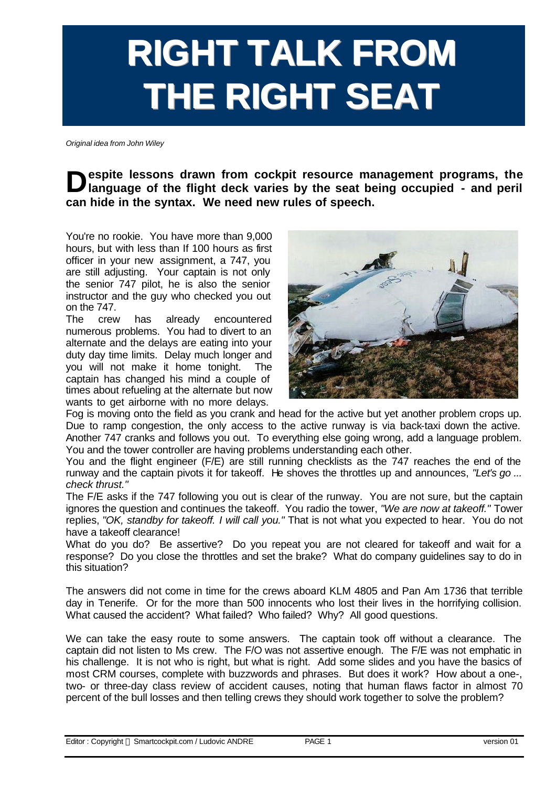## **RIGHT TALK FROM THE RIGHT SEAT**

*Original idea from John Wiley*

**b** espite lessons drawn from cockpit resource management programs, the language of the flight deck varies by the seat being occupied - and peril **language of the flight deck varies by the seat being occupied - and peril can hide in the syntax. We need new rules of speech.**

You're no rookie. You have more than 9,000 hours, but with less than If 100 hours as first officer in your new assignment, a 747, you are still adjusting. Your captain is not only the senior 747 pilot, he is also the senior instructor and the guy who checked you out on the 747.

The crew has already encountered numerous problems. You had to divert to an alternate and the delays are eating into your duty day time limits. Delay much longer and you will not make it home tonight. The captain has changed his mind a couple of times about refueling at the alternate but now wants to get airborne with no more delays.



Fog is moving onto the field as you crank and head for the active but yet another problem crops up. Due to ramp congestion, the only access to the active runway is via back-taxi down the active. Another 747 cranks and follows you out. To everything else going wrong, add a language problem. You and the tower controller are having problems understanding each other.

You and the flight engineer (F/E) are still running checklists as the 747 reaches the end of the runway and the captain pivots it for takeoff. He shoves the throttles up and announces, *"Let's go ... check thrust."*

The F/E asks if the 747 following you out is clear of the runway. You are not sure, but the captain ignores the question and continues the takeoff. You radio the tower, *"We are now at takeoff."* Tower replies, *"OK, standby for takeoff. I will call you."* That is not what you expected to hear. You do not have a takeoff clearance!

What do you do? Be assertive? Do you repeat you are not cleared for takeoff and wait for a response? Do you close the throttles and set the brake? What do company guidelines say to do in this situation?

The answers did not come in time for the crews aboard KLM 4805 and Pan Am 1736 that terrible day in Tenerife. Or for the more than 500 innocents who lost their lives in the horrifying collision. What caused the accident? What failed? Who failed? Why? All good questions.

We can take the easy route to some answers. The captain took off without a clearance. The captain did not listen to Ms crew. The F/O was not assertive enough. The F/E was not emphatic in his challenge. It is not who is right, but what is right. Add some slides and you have the basics of most CRM courses, complete with buzzwords and phrases. But does it work? How about a one-, two- or three-day class review of accident causes, noting that human flaws factor in almost 70 percent of the bull losses and then telling crews they should work together to solve the problem?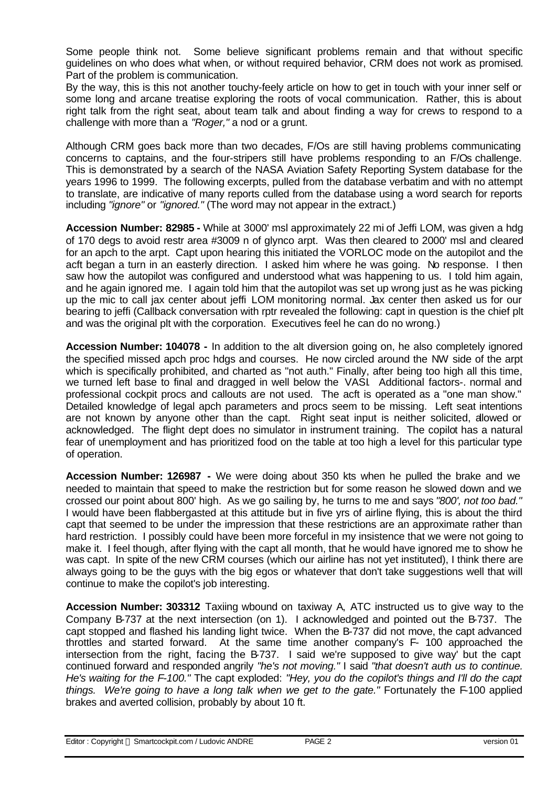Some people think not. Some believe significant problems remain and that without specific guidelines on who does what when, or without required behavior, CRM does not work as promised. Part of the problem is communication.

By the way, this is this not another touchy-feely article on how to get in touch with your inner self or some long and arcane treatise exploring the roots of vocal communication. Rather, this is about right talk from the right seat, about team talk and about finding a way for crews to respond to a challenge with more than a *"Roger,"* a nod or a grunt.

Although CRM goes back more than two decades, F/Os are still having problems communicating concerns to captains, and the four-stripers still have problems responding to an F/Os challenge. This is demonstrated by a search of the NASA Aviation Safety Reporting System database for the years 1996 to 1999. The following excerpts, pulled from the database verbatim and with no attempt to translate, are indicative of many reports culled from the database using a word search for reports including *"ignore"* or *"ignored."* (The word may not appear in the extract.)

**Accession Number: 82985 -** While at 3000' msl approximately 22 mi of Jeffi LOM, was given a hdg of 170 degs to avoid restr area #3009 n of glynco arpt. Was then cleared to 2000' msl and cleared for an apch to the arpt. Capt upon hearing this initiated the VORLOC mode on the autopilot and the acft began a turn in an easterly direction. I asked him where he was going. No response. I then saw how the autopilot was configured and understood what was happening to us. I told him again, and he again ignored me. I again told him that the autopilot was set up wrong just as he was picking up the mic to call jax center about jeffi LOM monitoring normal. Jax center then asked us for our bearing to jeffi (Callback conversation with rptr revealed the following: capt in question is the chief plt and was the original plt with the corporation. Executives feel he can do no wrong.)

**Accession Number: 104078 -** In addition to the alt diversion going on, he also completely ignored the specified missed apch proc hdgs and courses. He now circled around the NW side of the arpt which is specifically prohibited, and charted as "not auth." Finally, after being too high all this time, we turned left base to final and dragged in well below the VASI. Additional factors-. normal and professional cockpit procs and callouts are not used. The acft is operated as a "one man show." Detailed knowledge of legal apch parameters and procs seem to be missing. Left seat intentions are not known by anyone other than the capt. Right seat input is neither solicited, allowed or acknowledged. The flight dept does no simulator in instrument training. The copilot has a natural fear of unemployment and has prioritized food on the table at too high a level for this particular type of operation.

**Accession Number: 126987 -** We were doing about 350 kts when he pulled the brake and we needed to maintain that speed to make the restriction but for some reason he slowed down and we crossed our point about 800' high. As we go sailing by, he turns to me and says *"800', not too bad."* I would have been flabbergasted at this attitude but in five yrs of airline flying, this is about the third capt that seemed to be under the impression that these restrictions are an approximate rather than hard restriction. I possibly could have been more forceful in my insistence that we were not going to make it. I feel though, after flying with the capt all month, that he would have ignored me to show he was capt. In spite of the new CRM courses (which our airline has not yet instituted), I think there are always going to be the guys with the big egos or whatever that don't take suggestions well that will continue to make the copilot's job interesting.

**Accession Number: 303312** Taxiing wbound on taxiway A, ATC instructed us to give way to the Company B-737 at the next intersection (on 1). I acknowledged and pointed out the B-737. The capt stopped and flashed his landing light twice. When the B-737 did not move, the capt advanced throttles and started forward. At the same time another company's F- 100 approached the intersection from the right, facing the B-737. I said we're supposed to give way' but the capt continued forward and responded angrily *"he's not moving."* I said *"that doesn't auth us to continue. He's waiting for the F-100."* The capt exploded: *"Hey, you do the copilot's things and I'll do the capt things. We're going to have a long talk when we get to the gate."* Fortunately the F-100 applied brakes and averted collision, probably by about 10 ft.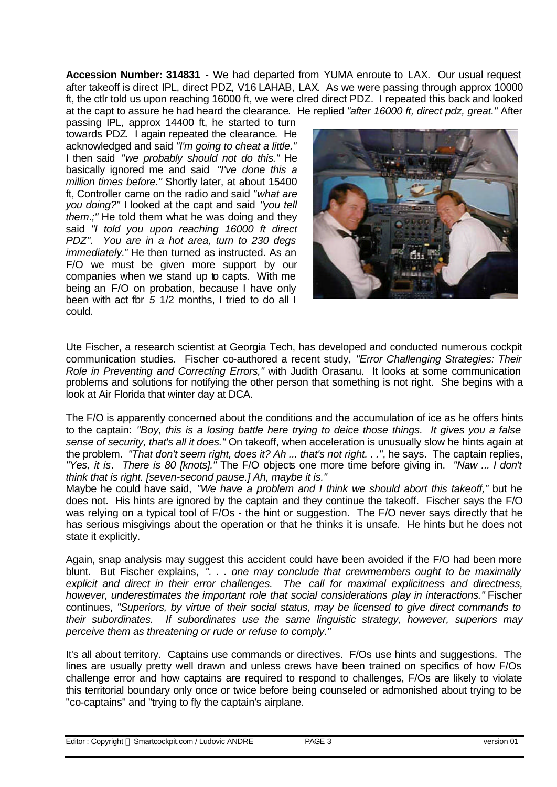**Accession Number: 314831 -** We had departed from YUMA enroute to LAX. Our usual request after takeoff is direct IPL, direct PDZ, V16 LAHAB, LAX. As we were passing through approx 10000 ft, the ctlr told us upon reaching 16000 ft, we were clred direct PDZ. I repeated this back and looked at the capt to assure he had heard the clearance. He replied *"after 16000 ft, direct pdz, great."* After

passing IPL, approx 14400 ft, he started to turn towards PDZ. I again repeated the clearance. He acknowledged and said *"I'm going to cheat a little."* I then said *"we probably should not do this."* He basically ignored me and said *"I've done this a million times before."* Shortly later, at about 15400 ft, Controller came on the radio and said *"what are you doing?"* I looked at the capt and said *"you tell them.;"* He told them what he was doing and they said *"I told you upon reaching 16000 ft direct PDZ". You are in a hot area, turn to 230 degs immediately."* He then turned as instructed. As an F/O we must be given more support by our companies when we stand up to capts. With me being an F/O on probation, because I have only been with act fbr *5* 1/2 months, I tried to do all I could.



Ute Fischer, a research scientist at Georgia Tech, has developed and conducted numerous cockpit communication studies. Fischer co-authored a recent study, *"Error Challenging Strategies: Their Role in Preventing and Correcting Errors,"* with Judith Orasanu. It looks at some communication problems and solutions for notifying the other person that something is not right. She begins with a look at Air Florida that winter day at DCA.

The F/O is apparently concerned about the conditions and the accumulation of ice as he offers hints to the captain: *"Boy, this is a losing battle here trying to deice those things. It gives you a false sense of security, that's all it does."* On takeoff, when acceleration is unusually slow he hints again at the problem. *"That don't seem right, does it? Ah ... that's not right. . ."*, he says. The captain replies, *"Yes, it is. There is 80 [knots]."* The F/O objects one more time before giving in. *"Naw ... I don't think that is right. [seven-second pause.] Ah, maybe it is."*

Maybe he could have said, *"We have a problem and I think we should abort this takeoff,"* but he does not. His hints are ignored by the captain and they continue the takeoff. Fischer says the F/O was relying on a typical tool of F/Os - the hint or suggestion. The F/O never says directly that he has serious misgivings about the operation or that he thinks it is unsafe. He hints but he does not state it explicitly.

Again, snap analysis may suggest this accident could have been avoided if the F/O had been more blunt. But Fischer explains, *". . . one may conclude that crewmembers ought to be maximally explicit and direct in their error challenges. The call for maximal explicitness and directness, however, underestimates the important role that social considerations play in interactions."* Fischer continues, *"Superiors, by virtue of their social status, may be licensed to give direct commands to their subordinates. If subordinates use the same linguistic strategy, however, superiors may perceive them as threatening or rude or refuse to comply."*

It's all about territory. Captains use commands or directives. F/Os use hints and suggestions. The lines are usually pretty well drawn and unless crews have been trained on specifics of how F/Os challenge error and how captains are required to respond to challenges, F/Os are likely to violate this territorial boundary only once or twice before being counseled or admonished about trying to be "co-captains" and "trying to fly the captain's airplane.

| Editor: Copyright © Smartcockpit.com / Ludovic ANDRE | PAGE 3 | version 01 |
|------------------------------------------------------|--------|------------|
|------------------------------------------------------|--------|------------|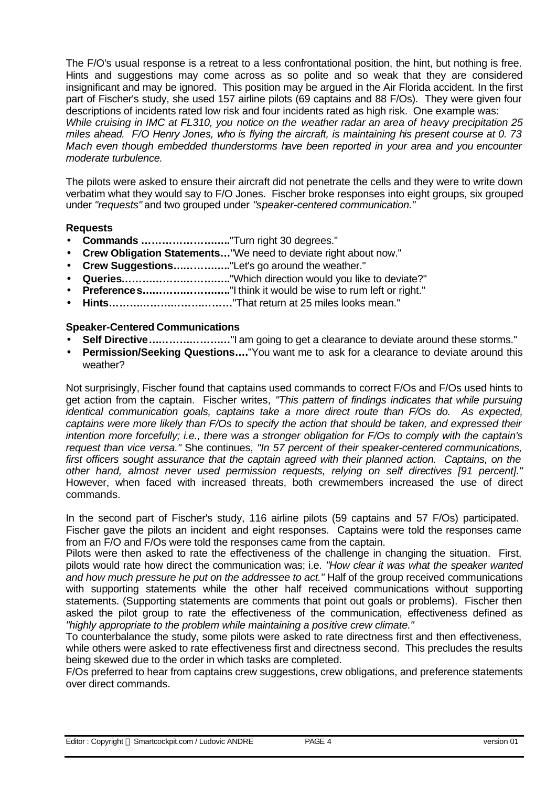The F/O's usual response is a retreat to a less confrontational position, the hint, but nothing is free. Hints and suggestions may come across as so polite and so weak that they are considered insignificant and may be ignored. This position may be argued in the Air Florida accident. In the first part of Fischer's study, she used 157 airline pilots (69 captains and 88 F/Os). They were given four descriptions of incidents rated low risk and four incidents rated as high risk. One example was: *While cruising in IMC at FL310, you notice on the weather radar an area of heavy precipitation 25 miles ahead. F/O Henry Jones, who is flying the aircraft, is maintaining his present course at 0. 73 Mach even though embedded thunderstorms have been reported in your area and you encounter moderate turbulence.*

The pilots were asked to ensure their aircraft did not penetrate the cells and they were to write down verbatim what they would say to F/O Jones. Fischer broke responses into eight groups, six grouped under *"requests"* and two grouped under *"speaker-centered communication."*

## **Requests**

- **Commands ……………………..**"Turn right 30 degrees."
- **Crew Obligation Statements…**"We need to deviate right about now."
- **Crew Suggestions……………..**"Let's go around the weather."
- **Queries…………………………..**"Which direction would you like to deviate?"
- **Preference s.............................**"I think it would be wise to rum left or right."
- **Hints………………………………**"That return at 25 miles looks mean."

## **Speaker-Centered Communications**

- **Self Directive……………………**"I am going to get a clearance to deviate around these storms."
- **Permission/Seeking Questions….**"You want me to ask for a clearance to deviate around this weather?

Not surprisingly, Fischer found that captains used commands to correct F/Os and F/Os used hints to get action from the captain. Fischer writes*, "This pattern of findings indicates that while pursuing identical communication goals, captains take a more direct route than F/Os do. As expected, captains were more likely than F/Os to specify the action that should be taken, and expressed their intention more forcefully; i.e., there was a stronger obligation for F/Os to comply with the captain's request than vice versa."* She continues, *"In 57 percent of their speaker-centered communications,*  first officers sought assurance that the captain agreed with their planned action. Captains, on the *other hand, almost never used permission requests, relying on self directives [91 percent]."* However, when faced with increased threats, both crewmembers increased the use of direct commands.

In the second part of Fischer's study, 116 airline pilots (59 captains and 57 F/Os) participated. Fischer gave the pilots an incident and eight responses. Captains were told the responses came from an F/O and F/Os were told the responses came from the captain.

Pilots were then asked to rate the effectiveness of the challenge in changing the situation. First, pilots would rate how direct the communication was; i.e. *"How clear it was what the speaker wanted and how much pressure he put on the addressee to act."* Half of the group received communications with supporting statements while the other half received communications without supporting statements. (Supporting statements are comments that point out goals or problems). Fischer then asked the pilot group to rate the effectiveness of the communication, effectiveness defined as *"highly appropriate to the problem while maintaining a positive crew climate."*

To counterbalance the study, some pilots were asked to rate directness first and then effectiveness, while others were asked to rate effectiveness first and directness second. This precludes the results being skewed due to the order in which tasks are completed.

F/Os preferred to hear from captains crew suggestions, crew obligations, and preference statements over direct commands.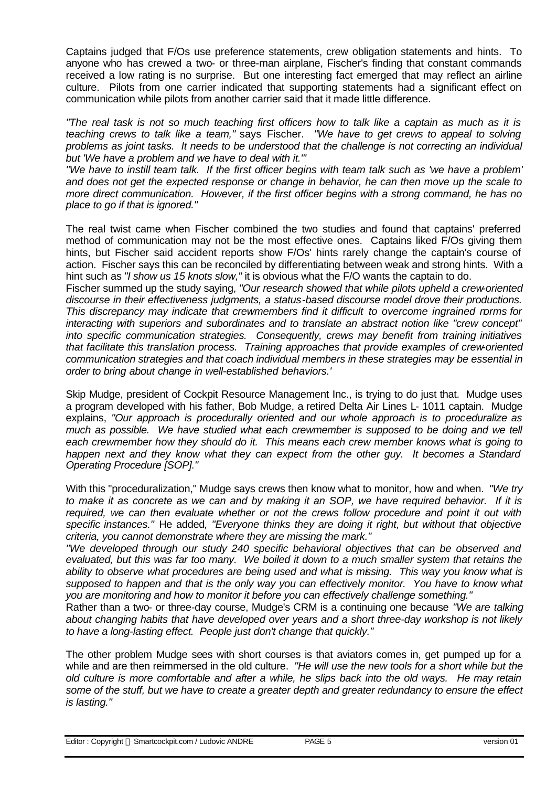Captains judged that F/Os use preference statements, crew obligation statements and hints. To anyone who has crewed a two- or three-man airplane, Fischer's finding that constant commands received a low rating is no surprise. But one interesting fact emerged that may reflect an airline culture.Pilots from one carrier indicated that supporting statements had a significant effect on communication while pilots from another carrier said that it made little difference.

*"The real task is not so much teaching first officers how to talk like a captain as much as it is teaching crews to talk like a team,"* says Fischer. *"We have to get crews to appeal to solving problems as joint tasks. It needs to be understood that the challenge is not correcting an individual but 'We have a problem and we have to deal with it."'*

*"We have to instill team talk. If the first officer begins with team talk such as 'we have a problem' and does not get the expected response or change in behavior, he can then move up the scale to more direct communication. However, if the first officer begins with a strong command, he has no place to go if that is ignored."*

The real twist came when Fischer combined the two studies and found that captains' preferred method of communication may not be the most effective ones. Captains liked F/Os giving them hints, but Fischer said accident reports show F/Os' hints rarely change the captain's course of action. Fischer says this can be reconciled by differentiating between weak and strong hints. With a hint such as *"I show us 15 knots slow,"* it is obvious what the F/O wants the captain to do.

Fischer summed up the study saying, *"Our research showed that while pilots upheld a crew-oriented discourse in their effectiveness judgments, a status-based discourse model drove their productions. This discrepancy may indicate that crewmembers find it difficult to overcome ingrained norms for interacting with superiors and subordinates and to translate an abstract notion like "crew concept" into specific communication strategies. Consequently, crews may benefit from training initiatives that facilitate this translation process. Training approaches that provide examples of crew-oriented communication strategies and that coach individual members in these strategies may be essential in order to bring about change in well-established behaviors.'*

Skip Mudge, president of Cockpit Resource Management Inc., is trying to do just that. Mudge uses a program developed with his father, Bob Mudge, a retired Delta Air Lines L- 1011 captain. Mudge explains, *"Our approach is procedurally oriented and our whole approach is to proceduralize as much as possible. We have studied what each crewmember is supposed to be doing and we tell each crewmember how they should do it. This means each crew member knows what is going to happen next and they know what they can expect from the other guy. It becomes a Standard Operating Procedure [SOP]."*

With this "proceduralization," Mudge says crews then know what to monitor, how and when. *"We try to make it as concrete as we can and by making it an SOP, we have required behavior. If it is*  required, we can then evaluate whether or not the crews follow procedure and point it out with *specific instances."* He added*, "Everyone thinks they are doing it right, but without that objective criteria, you cannot demonstrate where they are missing the mark."*

*"We developed through our study 240 specific behavioral objectives that can be observed and evaluated, but this was far too many. We boiled it down to a much smaller system that retains the ability to observe what procedures are being used and what is missing. This way you know what is supposed to happen and that is the only way you can effectively monitor. You have to know what you are monitoring and how to monitor it before you can effectively challenge something."*

Rather than a two- or three-day course, Mudge's CRM is a continuing one because *"We are talking about changing habits that have developed over years and a short three-day workshop is not likely to have a long-lasting effect. People just don't change that quickly."*

The other problem Mudge sees with short courses is that aviators comes in, get pumped up for a while and are then reimmersed in the old culture. *"He will use the new tools for a short while but the old culture is more comfortable and after a while, he slips back into the old ways. He may retain some of the stuff, but we have to create a greater depth and greater redundancy to ensure the effect is lasting."*